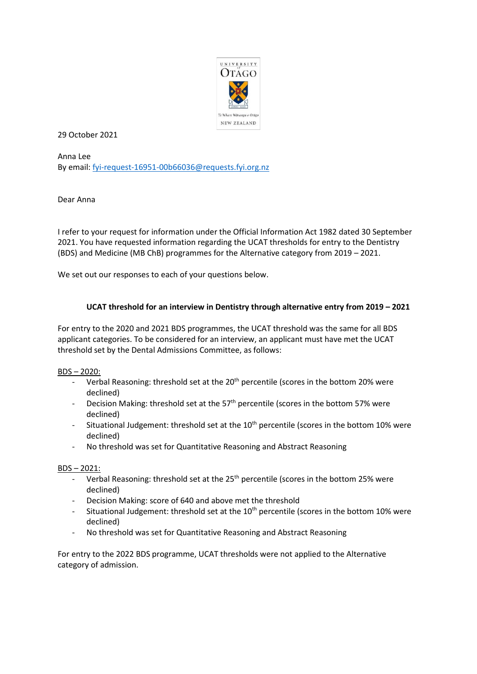

29 October 2021

Anna Lee By email: [fyi-request-16951-00b66036@requests.fyi.org.nz](mailto:xxxxxxxxxxxxxxxxxxxxxxxxxx@xxxxxxxx.xxx.xxx.xx)

Dear Anna

I refer to your request for information under the Official Information Act 1982 dated 30 September 2021. You have requested information regarding the UCAT thresholds for entry to the Dentistry (BDS) and Medicine (MB ChB) programmes for the Alternative category from 2019 – 2021.

We set out our responses to each of your questions below.

## **UCAT threshold for an interview in Dentistry through alternative entry from 2019 – 2021**

For entry to the 2020 and 2021 BDS programmes, the UCAT threshold was the same for all BDS applicant categories. To be considered for an interview, an applicant must have met the UCAT threshold set by the Dental Admissions Committee, as follows:

BDS – 2020:

- Verbal Reasoning: threshold set at the 20<sup>th</sup> percentile (scores in the bottom 20% were declined)
- Decision Making: threshold set at the  $57<sup>th</sup>$  percentile (scores in the bottom 57% were declined)
- Situational Judgement: threshold set at the 10<sup>th</sup> percentile (scores in the bottom 10% were declined)
- No threshold was set for Quantitative Reasoning and Abstract Reasoning

## BDS – 2021:

- Verbal Reasoning: threshold set at the 25<sup>th</sup> percentile (scores in the bottom 25% were declined)
- Decision Making: score of 640 and above met the threshold
- Situational Judgement: threshold set at the  $10<sup>th</sup>$  percentile (scores in the bottom 10% were declined)
- No threshold was set for Quantitative Reasoning and Abstract Reasoning

For entry to the 2022 BDS programme, UCAT thresholds were not applied to the Alternative category of admission.